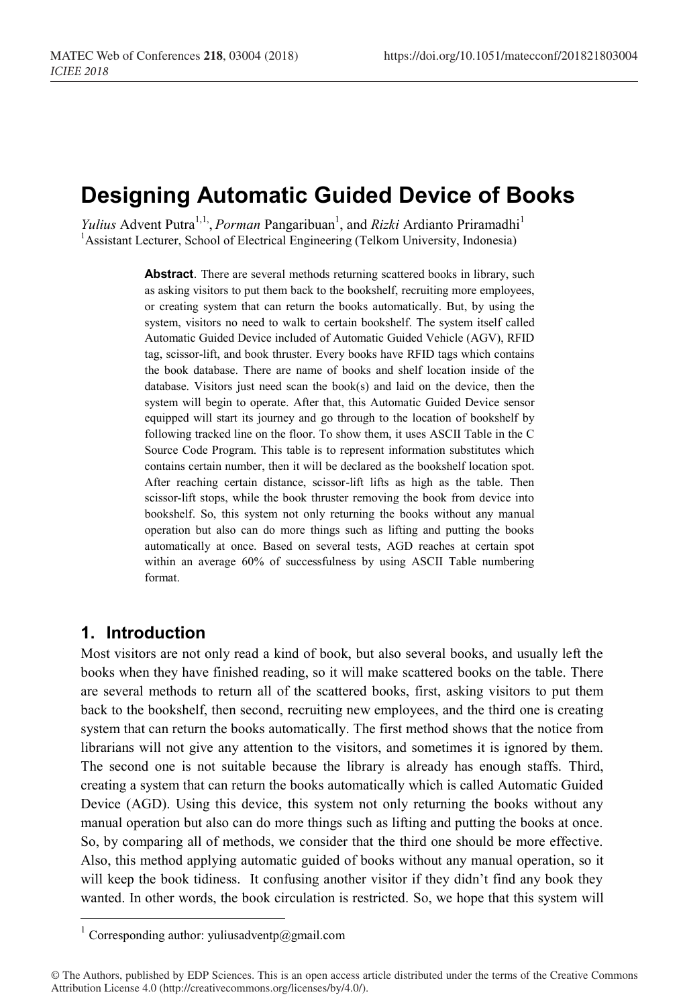# **Designing Automatic Guided Device of Books**

*Yulius* Advent Putra<sup>1,1,</sup> *Porman* Pangaribuan<sup>1</sup>, and *Rizki* Ardianto Priramadhi<sup>1</sup> <sup>1</sup> Assistant Lecturer, School of Electrical Engineering (Telkom University, Indonesia)

> **Abstract**. There are several methods returning scattered books in library, such as asking visitors to put them back to the bookshelf, recruiting more employees, or creating system that can return the books automatically. But, by using the system, visitors no need to walk to certain bookshelf. The system itself called Automatic Guided Device included of Automatic Guided Vehicle (AGV), RFID tag, scissor-lift, and book thruster. Every books have RFID tags which contains the book database. There are name of books and shelf location inside of the database. Visitors just need scan the book(s) and laid on the device, then the system will begin to operate. After that, this Automatic Guided Device sensor equipped will start its journey and go through to the location of bookshelf by following tracked line on the floor. To show them, it uses ASCII Table in the C Source Code Program. This table is to represent information substitutes which contains certain number, then it will be declared as the bookshelf location spot. After reaching certain distance, scissor-lift lifts as high as the table. Then scissor-lift stops, while the book thruster removing the book from device into bookshelf. So, this system not only returning the books without any manual operation but also can do more things such as lifting and putting the books automatically at once. Based on several tests, AGD reaches at certain spot within an average 60% of successfulness by using ASCII Table numbering format.

### **1. Introduction**

Most visitors are not only read a kind of book, but also several books, and usually left the books when they have finished reading, so it will make scattered books on the table. There are several methods to return all of the scattered books, first, asking visitors to put them back to the bookshelf, then second, recruiting new employees, and the third one is creating system that can return the books automatically. The first method shows that the notice from librarians will not give any attention to the visitors, and sometimes it is ignored by them. The second one is not suitable because the library is already has enough staffs. Third, creating a system that can return the books automatically which is called Automatic Guided Device (AGD). Using this device, this system not only returning the books without any manual operation but also can do more things such as lifting and putting the books at once. So, by comparing all of methods, we consider that the third one should be more effective. Also, this method applying automatic guided of books without any manual operation, so it will keep the book tidiness. It confusing another visitor if they didn't find any book they wanted. In other words, the book circulation is restricted. So, we hope that this system will

 $^{\rm 1}$  Corresponding author: yuliusadventp@gmail.com

<sup>©</sup> The Authors, published by EDP Sciences. This is an open access article distributed under the terms of the Creative Commons Attribution License 4.0 (http://creativecommons.org/licenses/by/4.0/).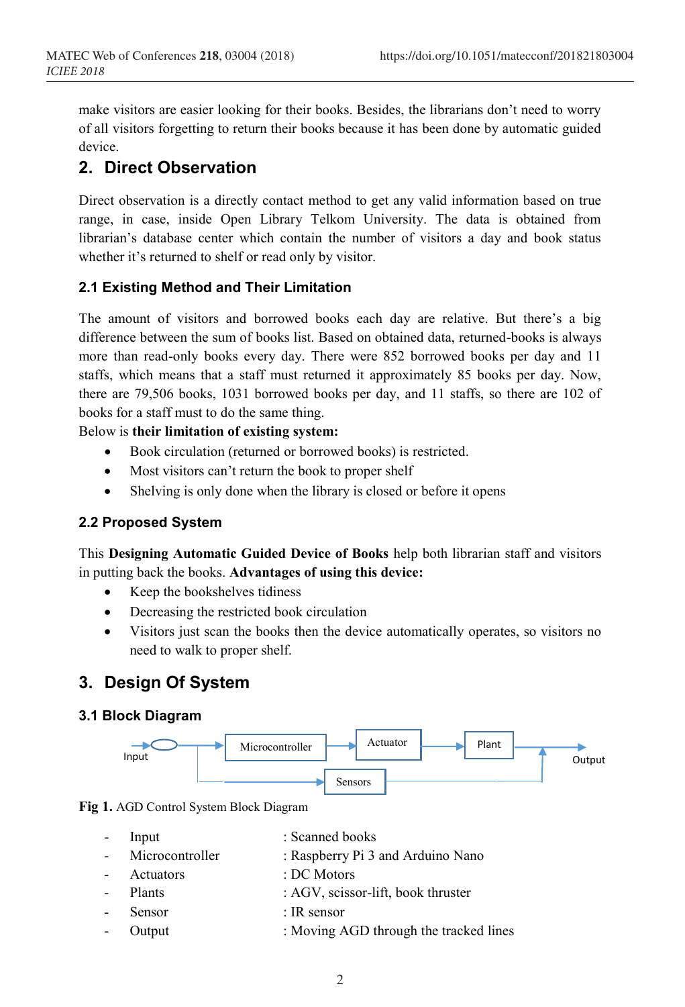make visitors are easier looking for their books. Besides, the librarians don't need to worry of all visitors forgetting to return their books because it has been done by automatic guided device.

# **2. Direct Observation**

Direct observation is a directly contact method to get any valid information based on true range, in case, inside Open Library Telkom University. The data is obtained from librarian's database center which contain the number of visitors a day and book status whether it's returned to shelf or read only by visitor.

### **2.1 Existing Method and Their Limitation**

The amount of visitors and borrowed books each day are relative. But there's a big difference between the sum of books list. Based on obtained data, returned-books is always more than read-only books every day. There were 852 borrowed books per day and 11 staffs, which means that a staff must returned it approximately 85 books per day. Now, there are 79,506 books, 1031 borrowed books per day, and 11 staffs, so there are 102 of books for a staff must to do the same thing.

Below is **their limitation of existing system:**

- Book circulation (returned or borrowed books) is restricted.
- Most visitors can't return the book to proper shelf
- Shelving is only done when the library is closed or before it opens

#### **2.2 Proposed System**

This **Designing Automatic Guided Device of Books** help both librarian staff and visitors in putting back the books. **Advantages of using this device:**

- Keep the bookshelves tidiness
- Decreasing the restricted book circulation
- Visitors just scan the books then the device automatically operates, so visitors no need to walk to proper shelf.

# **3. Design Of System**

#### **3.1 Block Diagram**



**Fig 1.** AGD Control System Block Diagram

- Input : Scanned books
- Microcontroller : Raspberry Pi 3 and Arduino Nano
- Actuators : DC Motors
- Plants : AGV, scissor-lift, book thruster
- Sensor : IR sensor
- Output : Moving AGD through the tracked lines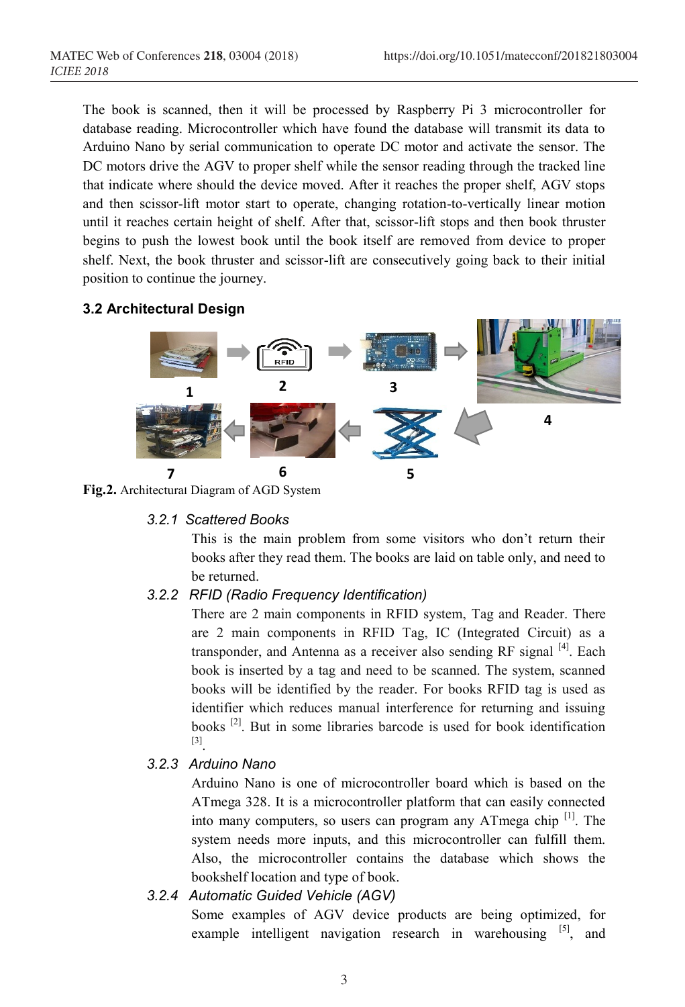The book is scanned, then it will be processed by Raspberry Pi 3 microcontroller for database reading. Microcontroller which have found the database will transmit its data to Arduino Nano by serial communication to operate DC motor and activate the sensor. The DC motors drive the AGV to proper shelf while the sensor reading through the tracked line that indicate where should the device moved. After it reaches the proper shelf, AGV stops and then scissor-lift motor start to operate, changing rotation-to-vertically linear motion until it reaches certain height of shelf. After that, scissor-lift stops and then book thruster begins to push the lowest book until the book itself are removed from device to proper shelf. Next, the book thruster and scissor-lift are consecutively going back to their initial position to continue the journey.

## **3.2 Architectural Design**



**Fig.2.** Architectural Diagram of AGD System

#### *3.2.1 Scattered Books*

This is the main problem from some visitors who don't return their books after they read them. The books are laid on table only, and need to be returned.

### *3.2.2 RFID (Radio Frequency Identification)*

There are 2 main components in RFID system, Tag and Reader. There are 2 main components in RFID Tag, IC (Integrated Circuit) as a transponder, and Antenna as a receiver also sending RF signal  $[4]$ . Each book is inserted by a tag and need to be scanned. The system, scanned books will be identified by the reader. For books RFID tag is used as identifier which reduces manual interference for returning and issuing books [2]. But in some libraries barcode is used for book identification [3].

### *3.2.3 Arduino Nano*

Arduino Nano is one of microcontroller board which is based on the ATmega 328. It is a microcontroller platform that can easily connected into many computers, so users can program any ATmega chip<sup>[1]</sup>. The system needs more inputs, and this microcontroller can fulfill them. Also, the microcontroller contains the database which shows the bookshelf location and type of book.

# *3.2.4 Automatic Guided Vehicle (AGV)*

Some examples of AGV device products are being optimized, for example intelligent navigation research in warehousing  $[5]$ , and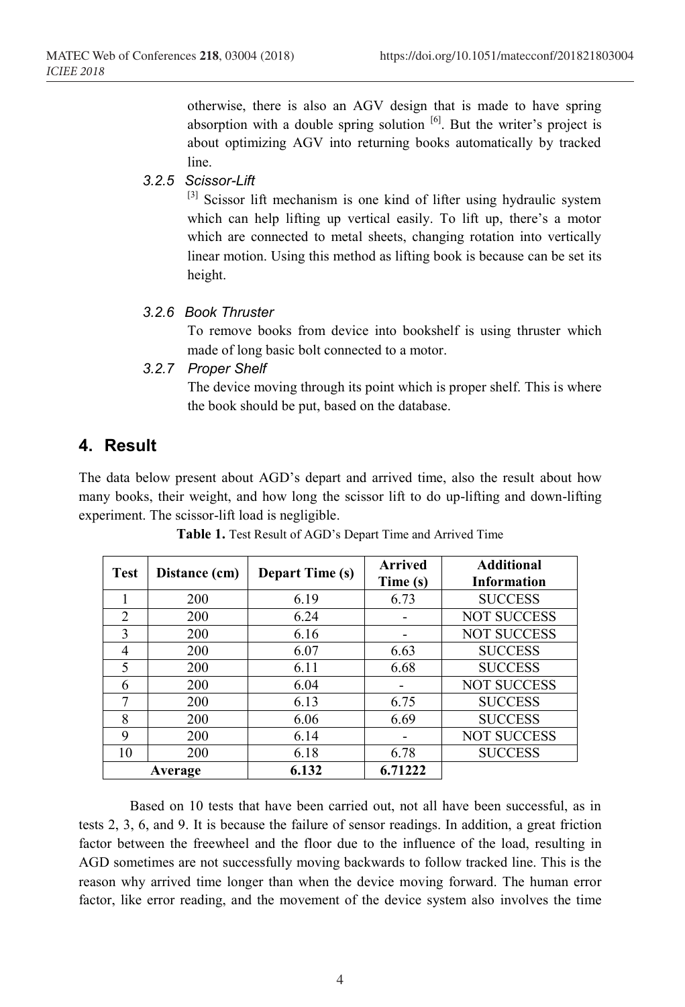otherwise, there is also an AGV design that is made to have spring absorption with a double spring solution  $\left[6\right]$ . But the writer's project is about optimizing AGV into returning books automatically by tracked line.

#### *3.2.5 Scissor-Lift*

[3] Scissor lift mechanism is one kind of lifter using hydraulic system which can help lifting up vertical easily. To lift up, there's a motor which are connected to metal sheets, changing rotation into vertically linear motion. Using this method as lifting book is because can be set its height.

#### *3.2.6 Book Thruster*

To remove books from device into bookshelf is using thruster which made of long basic bolt connected to a motor.

#### *3.2.7 Proper Shelf*

The device moving through its point which is proper shelf. This is where the book should be put, based on the database.

### **4. Result**

The data below present about AGD's depart and arrived time, also the result about how many books, their weight, and how long the scissor lift to do up-lifting and down-lifting experiment. The scissor-lift load is negligible.

| <b>Test</b>    | Distance (cm) | <b>Depart Time (s)</b> | <b>Arrived</b><br>Time (s) | <b>Additional</b><br><b>Information</b> |
|----------------|---------------|------------------------|----------------------------|-----------------------------------------|
|                | 200           | 6.19                   | 6.73                       | <b>SUCCESS</b>                          |
| $\overline{2}$ | 200           | 6.24                   |                            | <b>NOT SUCCESS</b>                      |
| $\mathcal{R}$  | 200           | 6.16                   |                            | <b>NOT SUCCESS</b>                      |
| 4              | 200           | 6.07                   | 6.63                       | <b>SUCCESS</b>                          |
| 5              | 200           | 6.11                   | 6.68                       | <b>SUCCESS</b>                          |
| 6              | 200           | 6.04                   |                            | <b>NOT SUCCESS</b>                      |
|                | 200           | 6.13                   | 6.75                       | <b>SUCCESS</b>                          |
| 8              | 200           | 6.06                   | 6.69                       | <b>SUCCESS</b>                          |
| 9              | 200           | 6.14                   |                            | <b>NOT SUCCESS</b>                      |
| 10             | 200           | 6.18                   | 6.78                       | <b>SUCCESS</b>                          |
| Average        |               | 6.132                  | 6.71222                    |                                         |

**Table 1.** Test Result of AGD's Depart Time and Arrived Time

Based on 10 tests that have been carried out, not all have been successful, as in tests 2, 3, 6, and 9. It is because the failure of sensor readings. In addition, a great friction factor between the freewheel and the floor due to the influence of the load, resulting in AGD sometimes are not successfully moving backwards to follow tracked line. This is the reason why arrived time longer than when the device moving forward. The human error factor, like error reading, and the movement of the device system also involves the time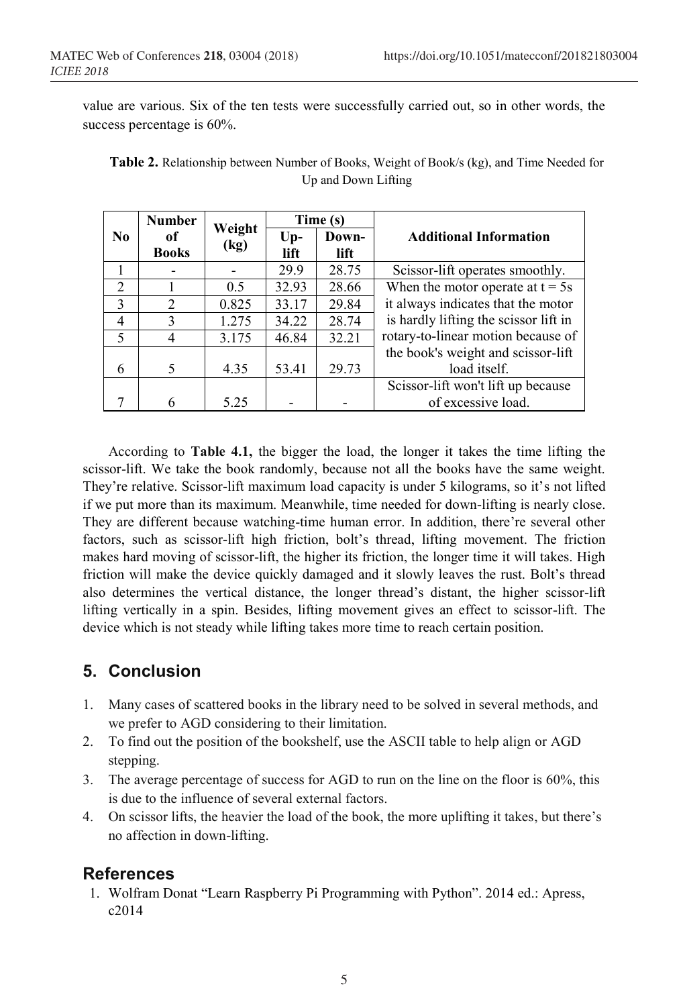value are various. Six of the ten tests were successfully carried out, so in other words, the success percentage is 60%.

|                          | <b>Number</b>      | Weight<br>(kg) | Time (s)      |               |                                       |
|--------------------------|--------------------|----------------|---------------|---------------|---------------------------------------|
| No.                      | оf<br><b>Books</b> |                | $Up-$<br>lift | Down-<br>lift | <b>Additional Information</b>         |
|                          |                    |                | 29.9          | 28.75         | Scissor-lift operates smoothly.       |
| 2                        |                    | 0.5            | 32.93         | 28.66         | When the motor operate at $t = 5s$    |
| $\mathcal{E}$            | $\overline{2}$     | 0.825          | 33.17         | 29.84         | it always indicates that the motor    |
| $\overline{4}$           | 3                  | 1.275          | 34.22         | 28.74         | is hardly lifting the scissor lift in |
| $\overline{\mathcal{L}}$ | 4                  | 3.175          | 46.84         | 32.21         | rotary-to-linear motion because of    |
|                          |                    |                |               |               | the book's weight and scissor-lift    |
| 6                        | 5                  | 4.35           | 53.41         | 29.73         | load itself.                          |
|                          |                    |                |               |               | Scissor-lift won't lift up because    |
|                          | 6                  | 5.25           |               |               | of excessive load.                    |

**Table 2.** Relationship between Number of Books, Weight of Book/s (kg), and Time Needed for Up and Down Lifting

According to **Table 4.1,** the bigger the load, the longer it takes the time lifting the scissor-lift. We take the book randomly, because not all the books have the same weight. They're relative. Scissor-lift maximum load capacity is under 5 kilograms, so it's not lifted if we put more than its maximum. Meanwhile, time needed for down-lifting is nearly close. They are different because watching-time human error. In addition, there're several other factors, such as scissor-lift high friction, bolt's thread, lifting movement. The friction makes hard moving of scissor-lift, the higher its friction, the longer time it will takes. High friction will make the device quickly damaged and it slowly leaves the rust. Bolt's thread also determines the vertical distance, the longer thread's distant, the higher scissor-lift lifting vertically in a spin. Besides, lifting movement gives an effect to scissor-lift. The device which is not steady while lifting takes more time to reach certain position.

# **5. Conclusion**

- 1. Many cases of scattered books in the library need to be solved in several methods, and we prefer to AGD considering to their limitation.
- 2. To find out the position of the bookshelf, use the ASCII table to help align or AGD stepping.
- 3. The average percentage of success for AGD to run on the line on the floor is 60%, this is due to the influence of several external factors.
- 4. On scissor lifts, the heavier the load of the book, the more uplifting it takes, but there's no affection in down-lifting.

# **References**

1. Wolfram Donat "Learn Raspberry Pi Programming with Python". 2014 ed.: Apress, c2014